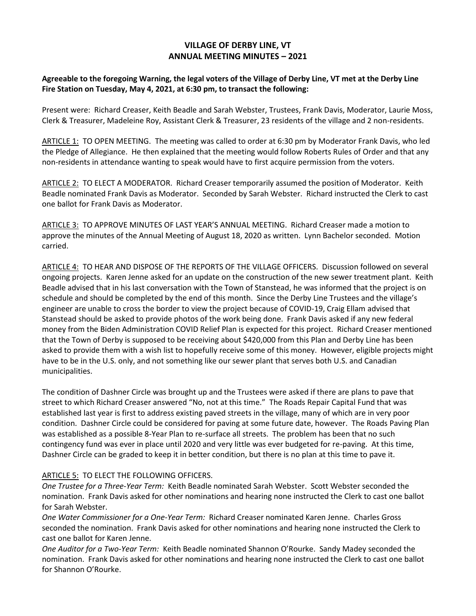## **VILLAGE OF DERBY LINE, VT ANNUAL MEETING MINUTES – 2021**

## **Agreeable to the foregoing Warning, the legal voters of the Village of Derby Line, VT met at the Derby Line Fire Station on Tuesday, May 4, 2021, at 6:30 pm, to transact the following:**

Present were: Richard Creaser, Keith Beadle and Sarah Webster, Trustees, Frank Davis, Moderator, Laurie Moss, Clerk & Treasurer, Madeleine Roy, Assistant Clerk & Treasurer, 23 residents of the village and 2 non-residents.

ARTICLE 1: TO OPEN MEETING. The meeting was called to order at 6:30 pm by Moderator Frank Davis, who led the Pledge of Allegiance. He then explained that the meeting would follow Roberts Rules of Order and that any non-residents in attendance wanting to speak would have to first acquire permission from the voters.

ARTICLE 2: TO ELECT A MODERATOR. Richard Creaser temporarily assumed the position of Moderator. Keith Beadle nominated Frank Davis as Moderator. Seconded by Sarah Webster. Richard instructed the Clerk to cast one ballot for Frank Davis as Moderator.

ARTICLE 3: TO APPROVE MINUTES OF LAST YEAR'S ANNUAL MEETING. Richard Creaser made a motion to approve the minutes of the Annual Meeting of August 18, 2020 as written. Lynn Bachelor seconded. Motion carried.

ARTICLE 4: TO HEAR AND DISPOSE OF THE REPORTS OF THE VILLAGE OFFICERS. Discussion followed on several ongoing projects. Karen Jenne asked for an update on the construction of the new sewer treatment plant. Keith Beadle advised that in his last conversation with the Town of Stanstead, he was informed that the project is on schedule and should be completed by the end of this month. Since the Derby Line Trustees and the village's engineer are unable to cross the border to view the project because of COVID-19, Craig Ellam advised that Stanstead should be asked to provide photos of the work being done. Frank Davis asked if any new federal money from the Biden Administration COVID Relief Plan is expected for this project. Richard Creaser mentioned that the Town of Derby is supposed to be receiving about \$420,000 from this Plan and Derby Line has been asked to provide them with a wish list to hopefully receive some of this money. However, eligible projects might have to be in the U.S. only, and not something like our sewer plant that serves both U.S. and Canadian municipalities.

The condition of Dashner Circle was brought up and the Trustees were asked if there are plans to pave that street to which Richard Creaser answered "No, not at this time." The Roads Repair Capital Fund that was established last year is first to address existing paved streets in the village, many of which are in very poor condition. Dashner Circle could be considered for paving at some future date, however. The Roads Paving Plan was established as a possible 8-Year Plan to re-surface all streets. The problem has been that no such contingency fund was ever in place until 2020 and very little was ever budgeted for re-paving. At this time, Dashner Circle can be graded to keep it in better condition, but there is no plan at this time to pave it.

## ARTICLE 5: TO ELECT THE FOLLOWING OFFICERS.

*One Trustee for a Three-Year Term:* Keith Beadle nominated Sarah Webster. Scott Webster seconded the nomination. Frank Davis asked for other nominations and hearing none instructed the Clerk to cast one ballot for Sarah Webster.

*One Water Commissioner for a One-Year Term:* Richard Creaser nominated Karen Jenne. Charles Gross seconded the nomination. Frank Davis asked for other nominations and hearing none instructed the Clerk to cast one ballot for Karen Jenne.

*One Auditor for a Two-Year Term:* Keith Beadle nominated Shannon O'Rourke. Sandy Madey seconded the nomination. Frank Davis asked for other nominations and hearing none instructed the Clerk to cast one ballot for Shannon O'Rourke.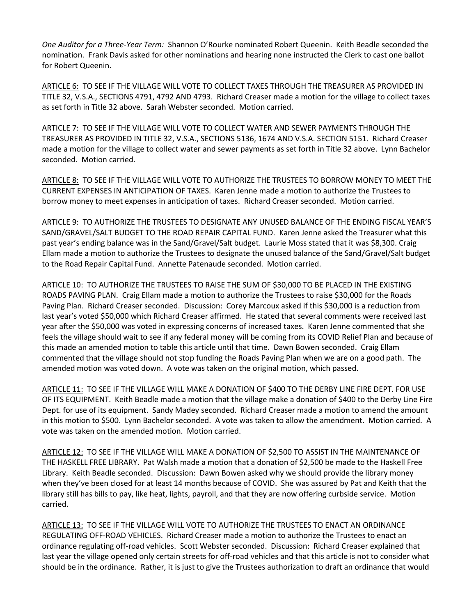*One Auditor for a Three-Year Term:* Shannon O'Rourke nominated Robert Queenin. Keith Beadle seconded the nomination. Frank Davis asked for other nominations and hearing none instructed the Clerk to cast one ballot for Robert Queenin.

ARTICLE 6: TO SEE IF THE VILLAGE WILL VOTE TO COLLECT TAXES THROUGH THE TREASURER AS PROVIDED IN TITLE 32, V.S.A., SECTIONS 4791, 4792 AND 4793. Richard Creaser made a motion for the village to collect taxes as set forth in Title 32 above. Sarah Webster seconded. Motion carried.

ARTICLE 7: TO SEE IF THE VILLAGE WILL VOTE TO COLLECT WATER AND SEWER PAYMENTS THROUGH THE TREASURER AS PROVIDED IN TITLE 32, V.S.A., SECTIONS 5136, 1674 AND V.S.A. SECTION 5151. Richard Creaser made a motion for the village to collect water and sewer payments as set forth in Title 32 above. Lynn Bachelor seconded. Motion carried.

ARTICLE 8: TO SEE IF THE VILLAGE WILL VOTE TO AUTHORIZE THE TRUSTEES TO BORROW MONEY TO MEET THE CURRENT EXPENSES IN ANTICIPATION OF TAXES. Karen Jenne made a motion to authorize the Trustees to borrow money to meet expenses in anticipation of taxes. Richard Creaser seconded. Motion carried.

ARTICLE 9: TO AUTHORIZE THE TRUSTEES TO DESIGNATE ANY UNUSED BALANCE OF THE ENDING FISCAL YEAR'S SAND/GRAVEL/SALT BUDGET TO THE ROAD REPAIR CAPITAL FUND. Karen Jenne asked the Treasurer what this past year's ending balance was in the Sand/Gravel/Salt budget. Laurie Moss stated that it was \$8,300. Craig Ellam made a motion to authorize the Trustees to designate the unused balance of the Sand/Gravel/Salt budget to the Road Repair Capital Fund. Annette Patenaude seconded. Motion carried.

ARTICLE 10: TO AUTHORIZE THE TRUSTEES TO RAISE THE SUM OF \$30,000 TO BE PLACED IN THE EXISTING ROADS PAVING PLAN. Craig Ellam made a motion to authorize the Trustees to raise \$30,000 for the Roads Paving Plan. Richard Creaser seconded. Discussion: Corey Marcoux asked if this \$30,000 is a reduction from last year's voted \$50,000 which Richard Creaser affirmed. He stated that several comments were received last year after the \$50,000 was voted in expressing concerns of increased taxes. Karen Jenne commented that she feels the village should wait to see if any federal money will be coming from its COVID Relief Plan and because of this made an amended motion to table this article until that time. Dawn Bowen seconded. Craig Ellam commented that the village should not stop funding the Roads Paving Plan when we are on a good path. The amended motion was voted down. A vote was taken on the original motion, which passed.

ARTICLE 11: TO SEE IF THE VILLAGE WILL MAKE A DONATION OF \$400 TO THE DERBY LINE FIRE DEPT. FOR USE OF ITS EQUIPMENT. Keith Beadle made a motion that the village make a donation of \$400 to the Derby Line Fire Dept. for use of its equipment. Sandy Madey seconded. Richard Creaser made a motion to amend the amount in this motion to \$500. Lynn Bachelor seconded. A vote was taken to allow the amendment. Motion carried. A vote was taken on the amended motion. Motion carried.

ARTICLE 12: TO SEE IF THE VILLAGE WILL MAKE A DONATION OF \$2,500 TO ASSIST IN THE MAINTENANCE OF THE HASKELL FREE LIBRARY. Pat Walsh made a motion that a donation of \$2,500 be made to the Haskell Free Library. Keith Beadle seconded. Discussion: Dawn Bowen asked why we should provide the library money when they've been closed for at least 14 months because of COVID. She was assured by Pat and Keith that the library still has bills to pay, like heat, lights, payroll, and that they are now offering curbside service. Motion carried.

ARTICLE 13: TO SEE IF THE VILLAGE WILL VOTE TO AUTHORIZE THE TRUSTEES TO ENACT AN ORDINANCE REGULATING OFF-ROAD VEHICLES. Richard Creaser made a motion to authorize the Trustees to enact an ordinance regulating off-road vehicles. Scott Webster seconded. Discussion: Richard Creaser explained that last year the village opened only certain streets for off-road vehicles and that this article is not to consider what should be in the ordinance. Rather, it is just to give the Trustees authorization to draft an ordinance that would